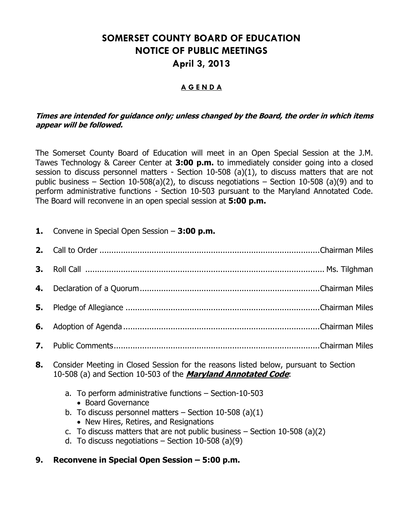# **SOMERSET COUNTY BOARD OF EDUCATION NOTICE OF PUBLIC MEETINGS April 3, 2013**

#### **A G E N D A**

#### **Times are intended for guidance only; unless changed by the Board, the order in which items appear will be followed.**

The Somerset County Board of Education will meet in an Open Special Session at the J.M. Tawes Technology & Career Center at **3:00 p.m.** to immediately consider going into a closed session to discuss personnel matters - Section 10-508 (a)(1), to discuss matters that are not public business – Section 10-508(a)(2), to discuss negotiations – Section 10-508 (a)(9) and to perform administrative functions - Section 10-503 pursuant to the Maryland Annotated Code. The Board will reconvene in an open special session at **5:00 p.m.**

**1.** Convene in Special Open Session – **3:00 p.m.**

| <b>Q</b> Consider Meeting in Closed Cossian for the reasons listed below nursuant to Costian |  |
|----------------------------------------------------------------------------------------------|--|

- **8.** Consider Meeting in Closed Session for the reasons listed below, pursuant to Section 10-508 (a) and Section 10-503 of the **Maryland Annotated Code**:
	- a. To perform administrative functions Section-10-503
		- Board Governance
	- b. To discuss personnel matters  $-$  Section 10-508 (a)(1) • New Hires, Retires, and Resignations
	- c. To discuss matters that are not public business  $-$  Section 10-508 (a)(2)
	- d. To discuss negotiations  $-$  Section 10-508 (a)(9)
- **9. Reconvene in Special Open Session – 5:00 p.m.**